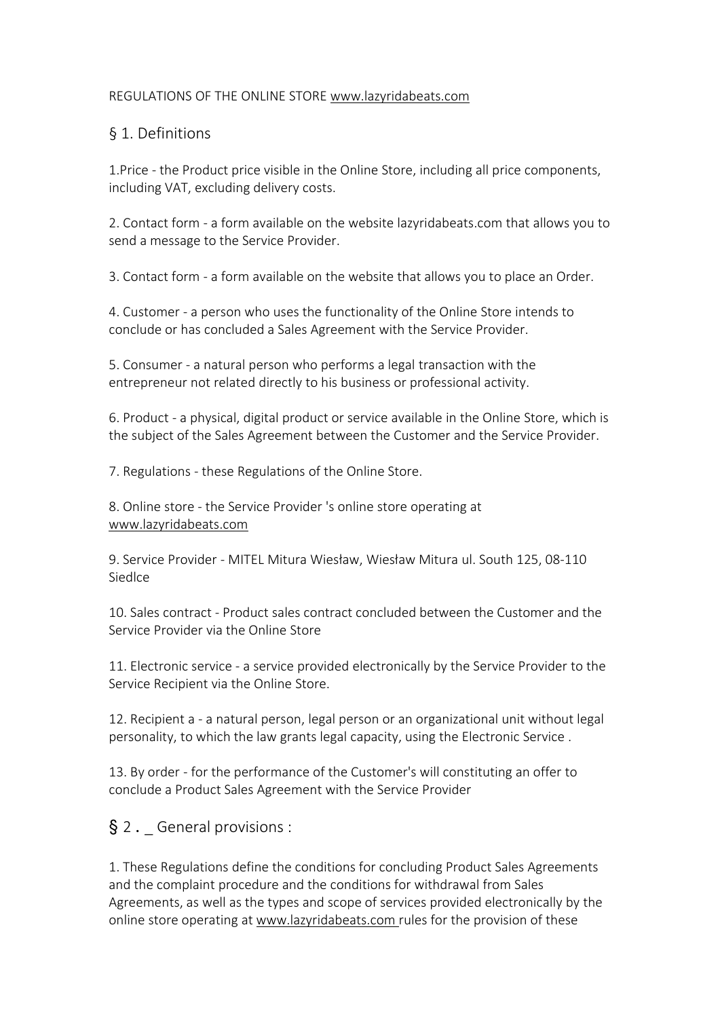### REGULATIONS OF THE ONLINE STORE [www.lazyridabeats.com](http://www.lazyrida.com/pl)

# § 1. Definitions

1.Price - the Product price visible in the Online Store, including all price components, including VAT, excluding delivery costs.

2. Contact form - a form available on the website lazyridabeats.com that allows you to send a message to the Service Provider.

3. Contact form - a form available on the website that allows you to place an Order.

4. Customer - a person who uses the functionality of the Online Store intends to conclude or has concluded a Sales Agreement with the Service Provider.

5. Consumer - a natural person who performs a legal transaction with the entrepreneur not related directly to his business or professional activity.

6. Product - a physical, digital product or service available in the Online Store, which is the subject of the Sales Agreement between the Customer and the Service Provider.

7. Regulations - these Regulations of the Online Store.

8. Online store - the Service Provider 's online store operating at [www.lazyridabeats.com](http://www.lazyrida.com/pl)

9. Service Provider - MITEL Mitura Wiesław, Wiesław Mitura ul. South 125, 08-110 Siedlce

10. Sales contract - Product sales contract concluded between the Customer and the Service Provider via the Online Store

11. Electronic service - a service provided electronically by the Service Provider to the Service Recipient via the Online Store.

12. Recipient a - a natural person, legal person or an organizational unit without legal personality, to which the law grants legal capacity, using the Electronic Service.

13. By order - for the performance of the Customer's will constituting an offer to conclude a Product Sales Agreement with the Service Provider

§ 2. General provisions :

1. These Regulations define the conditions for concluding Product Sales Agreements and the complaint procedure and the conditions for withdrawal from Sales Agreements, as well as the types and scope of services provided electronically by the online store operating at [www.lazyridabeats.com](http://www.lazyrida.com/pl) rules for the provision of these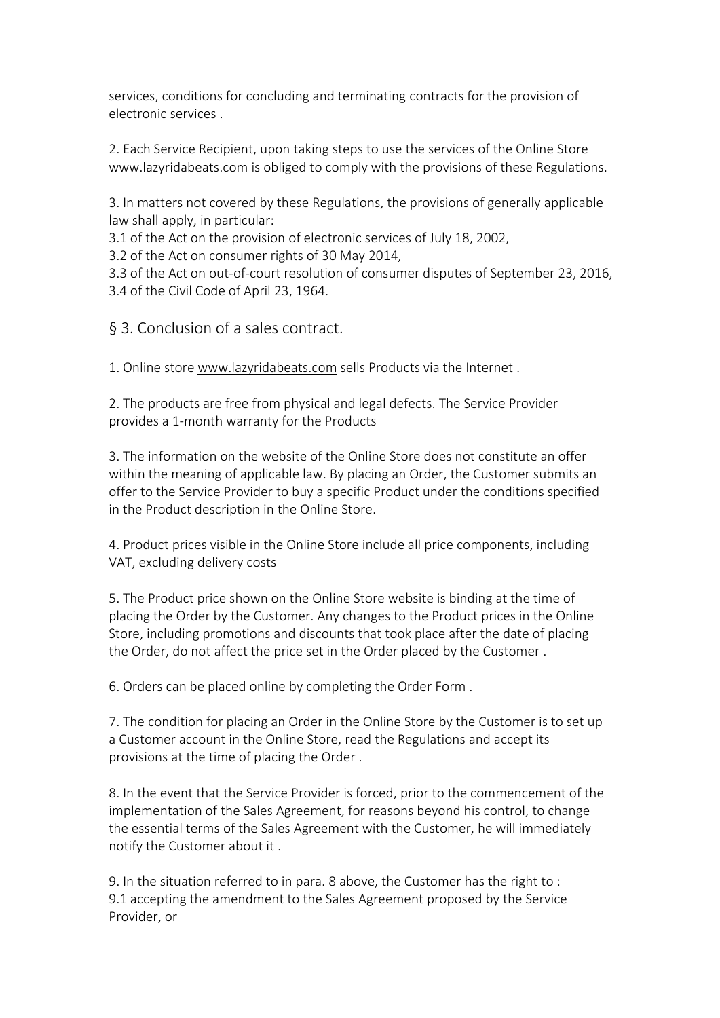services, conditions for concluding and terminating contracts for the provision of electronic services .

2. Each Service Recipient, upon taking steps to use the services of the Online Store [www.lazyridabeats.com](http://www.lazyrida.com/pl) is obliged to comply with the provisions of these Regulations.

3. In matters not covered by these Regulations, the provisions of generally applicable law shall apply, in particular:

3.1 of the Act on the provision of electronic services of July 18, 2002,

3.2 of the Act on consumer rights of 30 May 2014,

3.3 of the Act on out-of-court resolution of consumer disputes of September 23, 2016, 3.4 of the Civil Code of April 23, 1964.

§ 3. Conclusion of a sales contract.

1. Online store [www.lazyridabeats.com](http://www.lazyrida.com/pl) sells Products via the Internet .

2. The products are free from physical and legal defects. The Service Provider provides a 1-month warranty for the Products

3. The information on the website of the Online Store does not constitute an offer within the meaning of applicable law. By placing an Order, the Customer submits an offer to the Service Provider to buy a specific Product under the conditions specified in the Product description in the Online Store.

4. Product prices visible in the Online Store include all price components, including VAT, excluding delivery costs

5. The Product price shown on the Online Store website is binding at the time of placing the Order by the Customer. Any changes to the Product prices in the Online Store, including promotions and discounts that took place after the date of placing the Order, do not affect the price set in the Order placed by the Customer .

6. Orders can be placed online by completing the Order Form .

7. The condition for placing an Order in the Online Store by the Customer is to set up a Customer account in the Online Store, read the Regulations and accept its provisions at the time of placing the Order .

8. In the event that the Service Provider is forced, prior to the commencement of the implementation of the Sales Agreement, for reasons beyond his control, to change the essential terms of the Sales Agreement with the Customer, he will immediately notify the Customer about it .

9. In the situation referred to in para. 8 above, the Customer has the right to : 9.1 accepting the amendment to the Sales Agreement proposed by the Service Provider, or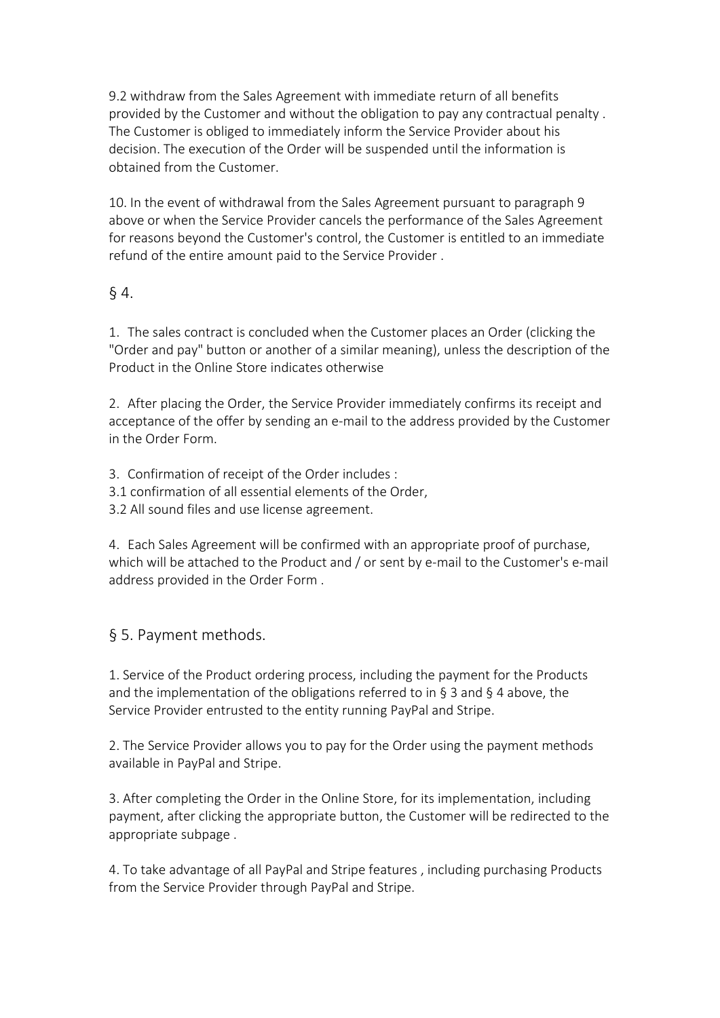9.2 withdraw from the Sales Agreement with immediate return of all benefits provided by the Customer and without the obligation to pay any contractual penalty . The Customer is obliged to immediately inform the Service Provider about his decision. The execution of the Order will be suspended until the information is obtained from the Customer.

10. In the event of withdrawal from the Sales Agreement pursuant to paragraph 9 above or when the Service Provider cancels the performance of the Sales Agreement for reasons beyond the Customer's control, the Customer is entitled to an immediate refund of the entire amount paid to the Service Provider .

## § 4.

1. The sales contract is concluded when the Customer places an Order (clicking the "Order and pay" button or another of a similar meaning), unless the description of the Product in the Online Store indicates otherwise

2. After placing the Order, the Service Provider immediately confirms its receipt and acceptance of the offer by sending an e-mail to the address provided by the Customer in the Order Form.

3. Confirmation of receipt of the Order includes :

3.1 confirmation of all essential elements of the Order,

3.2 All sound files and use license agreement.

4. Each Sales Agreement will be confirmed with an appropriate proof of purchase, which will be attached to the Product and / or sent by e-mail to the Customer's e-mail address provided in the Order Form .

## § 5. Payment methods.

1. Service of the Product ordering process, including the payment for the Products and the implementation of the obligations referred to in  $\S$  3 and  $\S$  4 above, the Service Provider entrusted to the entity running PayPal and Stripe.

2. The Service Provider allows you to pay for the Order using the payment methods available in PayPal and Stripe.

3. After completing the Order in the Online Store, for its implementation, including payment, after clicking the appropriate button, the Customer will be redirected to the appropriate subpage .

4. To take advantage of all PayPal and Stripe features , including purchasing Products from the Service Provider through PayPal and Stripe.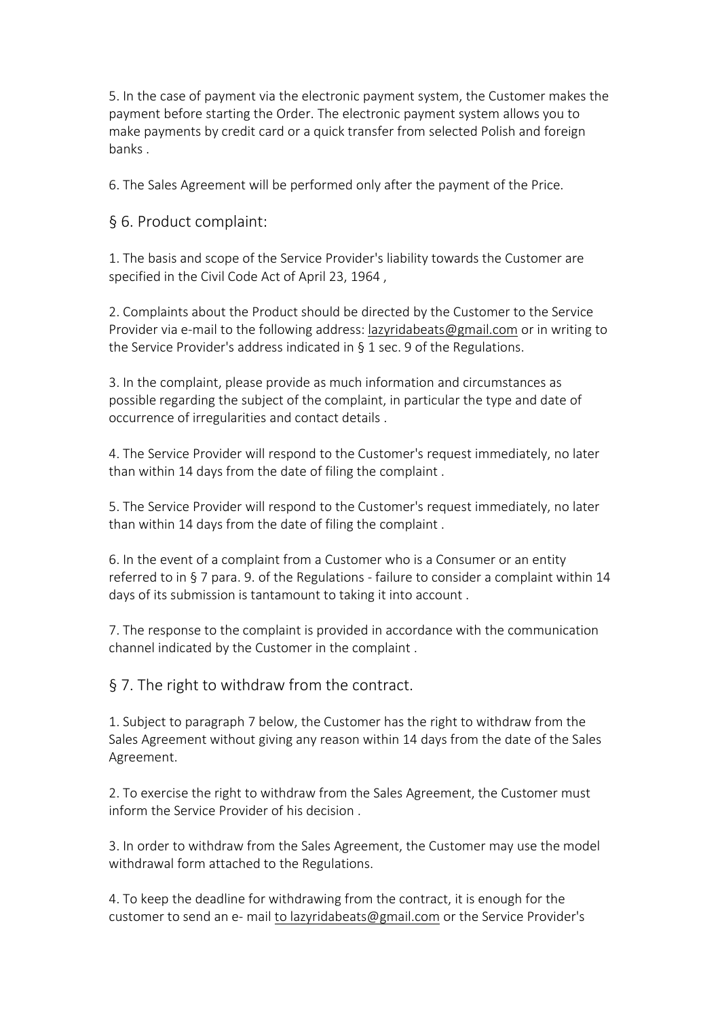5. In the case of payment via the electronic payment system, the Customer makes the payment before starting the Order. The electronic payment system allows you to make payments by credit card or a quick transfer from selected Polish and foreign banks .

6. The Sales Agreement will be performed only after the payment of the Price.

§ 6. Product complaint:

1. The basis and scope of the Service Provider's liability towards the Customer are specified in the Civil Code Act of April 23, 1964 ,

2. Complaints about the Product should be directed by the Customer to the Service Provider via e-mail to the following address: [lazyridabeats@gmail.com](mailto:lazyridabeats@gmail.pl) or in writing to the Service Provider's address indicated in § 1 sec. 9 of the Regulations.

3. In the complaint, please provide as much information and circumstances as possible regarding the subject of the complaint, in particular the type and date of occurrence of irregularities and contact details .

4. The Service Provider will respond to the Customer's request immediately, no later than within 14 days from the date of filing the complaint .

5. The Service Provider will respond to the Customer's request immediately, no later than within 14 days from the date of filing the complaint .

6. In the event of a complaint from a Customer who is a Consumer or an entity referred to in § 7 para. 9. of the Regulations - failure to consider a complaint within 14 days of its submission is tantamount to taking it into account .

7. The response to the complaint is provided in accordance with the communication channel indicated by the Customer in the complaint .

§ 7. The right to withdraw from the contract.

1. Subject to paragraph 7 below, the Customer has the right to withdraw from the Sales Agreement without giving any reason within 14 days from the date of the Sales Agreement.

2. To exercise the right to withdraw from the Sales Agreement, the Customer must inform the Service Provider of his decision .

3. In order to withdraw from the Sales Agreement, the Customer may use the model withdrawal form attached to the Regulations.

4. To keep the deadline for withdrawing from the contract, it is enough for the customer to send an e- mail to [lazyridabeats@gmail.com](mailto:lazyridabeats@gmail.com) or the Service Provider's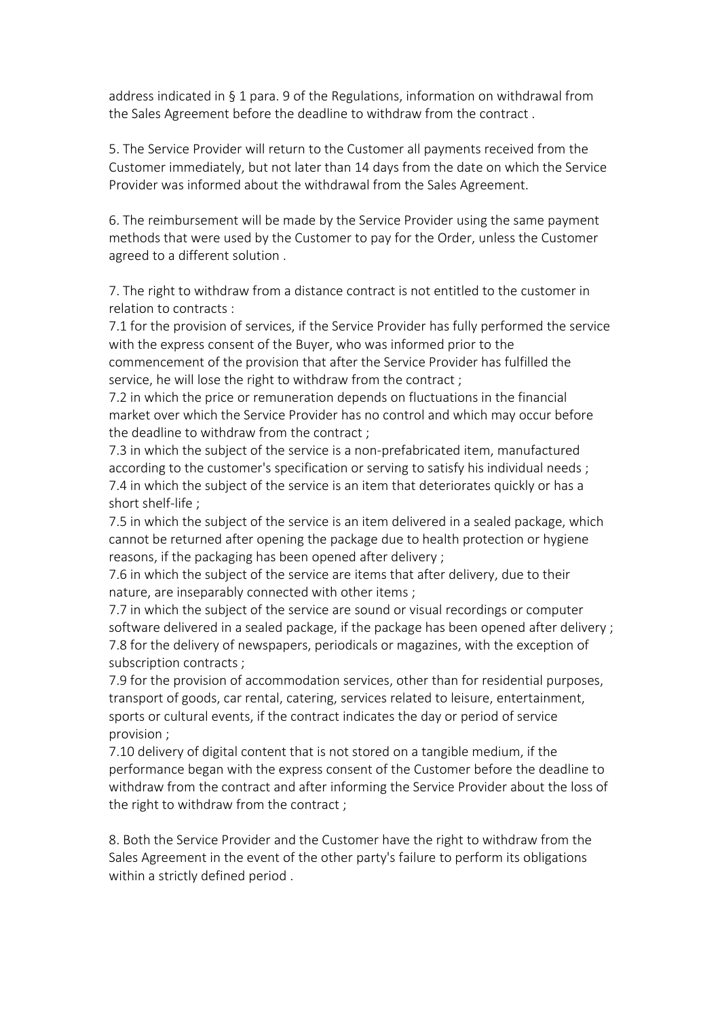address indicated in § 1 para. 9 of the Regulations, information on withdrawal from the Sales Agreement before the deadline to withdraw from the contract .

5. The Service Provider will return to the Customer all payments received from the Customer immediately, but not later than 14 days from the date on which the Service Provider was informed about the withdrawal from the Sales Agreement.

6. The reimbursement will be made by the Service Provider using the same payment methods that were used by the Customer to pay for the Order, unless the Customer agreed to a different solution .

7. The right to withdraw from a distance contract is not entitled to the customer in relation to contracts :

7.1 for the provision of services, if the Service Provider has fully performed the service with the express consent of the Buyer, who was informed prior to the commencement of the provision that after the Service Provider has fulfilled the service, he will lose the right to withdraw from the contract ;

7.2 in which the price or remuneration depends on fluctuations in the financial market over which the Service Provider has no control and which may occur before the deadline to withdraw from the contract ;

7.3 in which the subject of the service is a non-prefabricated item, manufactured according to the customer's specification or serving to satisfy his individual needs; 7.4 in which the subject of the service is an item that deteriorates quickly or has a short shelf-life ;

7.5 in which the subject of the service is an item delivered in a sealed package, which cannot be returned after opening the package due to health protection or hygiene reasons, if the packaging has been opened after delivery;

7.6 in which the subject of the service are items that after delivery, due to their nature, are inseparably connected with other items ;

7.7 in which the subject of the service are sound or visual recordings or computer software delivered in a sealed package, if the package has been opened after delivery ; 7.8 for the delivery of newspapers, periodicals or magazines, with the exception of subscription contracts ;

7.9 for the provision of accommodation services, other than for residential purposes, transport of goods, car rental, catering, services related to leisure, entertainment, sports or cultural events, if the contract indicates the day or period of service provision ;

7.10 delivery of digital content that is not stored on a tangible medium, if the performance began with the express consent of the Customer before the deadline to withdraw from the contract and after informing the Service Provider about the loss of the right to withdraw from the contract ;

8. Both the Service Provider and the Customer have the right to withdraw from the Sales Agreement in the event of the other party's failure to perform its obligations within a strictly defined period .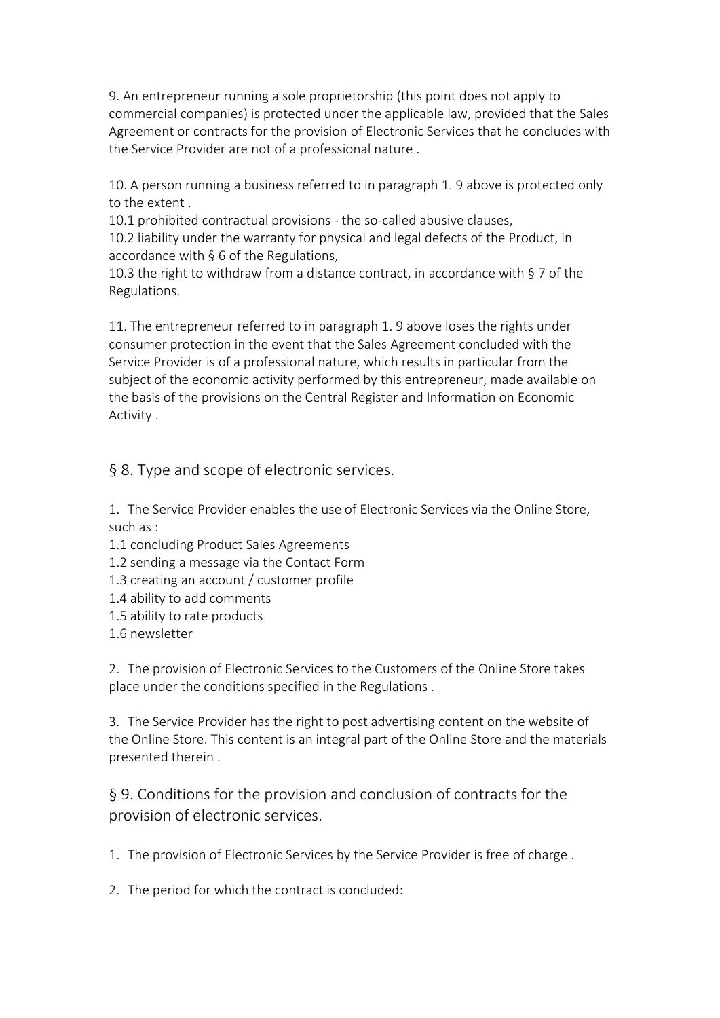9. An entrepreneur running a sole proprietorship (this point does not apply to commercial companies) is protected under the applicable law, provided that the Sales Agreement or contracts for the provision of Electronic Services that he concludes with the Service Provider are not of a professional nature .

10. A person running a business referred to in paragraph 1. 9 above is protected only to the extent .

10.1 prohibited contractual provisions - the so-called abusive clauses,

10.2 liability under the warranty for physical and legal defects of the Product, in accordance with § 6 of the Regulations,

10.3 the right to withdraw from a distance contract, in accordance with § 7 of the Regulations.

11. The entrepreneur referred to in paragraph 1. 9 above loses the rights under consumer protection in the event that the Sales Agreement concluded with the Service Provider is of a professional nature, which results in particular from the subject of the economic activity performed by this entrepreneur, made available on the basis of the provisions on the Central Register and Information on Economic Activity .

§ 8. Type and scope of electronic services.

1. The Service Provider enables the use of Electronic Services via the Online Store, such as :

- 1.1 concluding Product Sales Agreements
- 1.2 sending a message via the Contact Form
- 1.3 creating an account / customer profile
- 1.4 ability to add comments
- 1.5 ability to rate products
- 1.6 newsletter

2. The provision of Electronic Services to the Customers of the Online Store takes place under the conditions specified in the Regulations .

3. The Service Provider has the right to post advertising content on the website of the Online Store. This content is an integral part of the Online Store and the materials presented therein .

§ 9. Conditions for the provision and conclusion of contracts for the provision of electronic services.

1. The provision of Electronic Services by the Service Provider is free of charge .

2. The period for which the contract is concluded: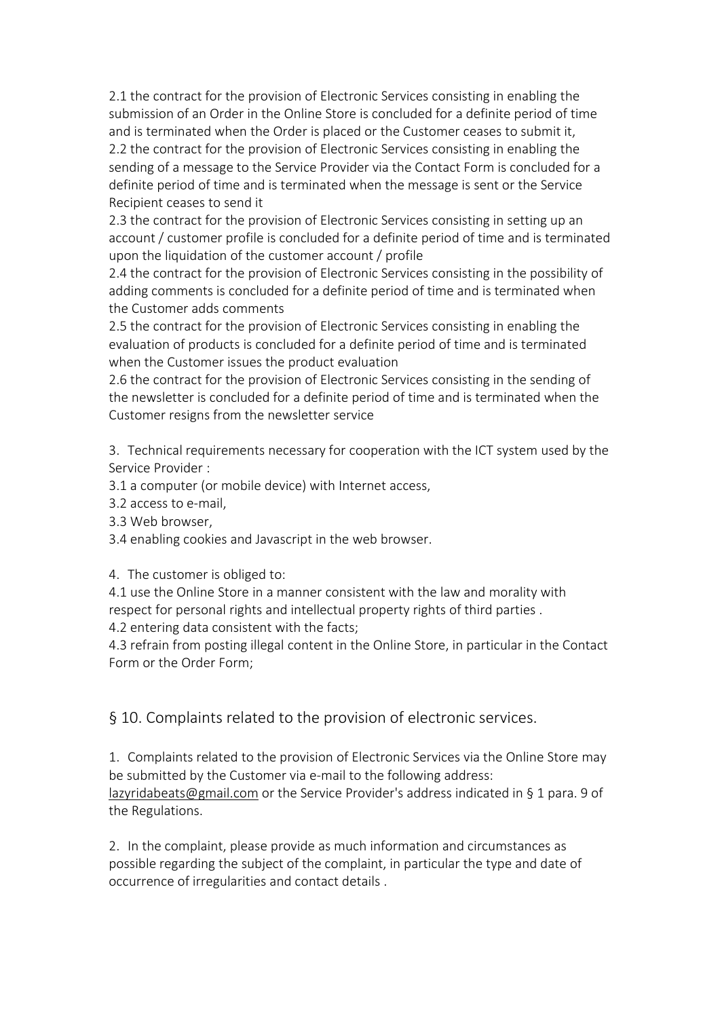2.1 the contract for the provision of Electronic Services consisting in enabling the submission of an Order in the Online Store is concluded for a definite period of time and is terminated when the Order is placed or the Customer ceases to submit it, 2.2 the contract for the provision of Electronic Services consisting in enabling the sending of a message to the Service Provider via the Contact Form is concluded for a definite period of time and is terminated when the message is sent or the Service Recipient ceases to send it

2.3 the contract for the provision of Electronic Services consisting in setting up an account / customer profile is concluded for a definite period of time and is terminated upon the liquidation of the customer account / profile

2.4 the contract for the provision of Electronic Services consisting in the possibility of adding comments is concluded for a definite period of time and is terminated when the Customer adds comments

2.5 the contract for the provision of Electronic Services consisting in enabling the evaluation of products is concluded for a definite period of time and is terminated when the Customer issues the product evaluation

2.6 the contract for the provision of Electronic Services consisting in the sending of the newsletter is concluded for a definite period of time and is terminated when the Customer resigns from the newsletter service

3. Technical requirements necessary for cooperation with the ICT system used by the Service Provider :

- 3.1 a computer (or mobile device) with Internet access,
- 3.2 access to e-mail,
- 3.3 Web browser,
- 3.4 enabling cookies and Javascript in the web browser.
- 4. The customer is obliged to:
- 4.1 use the Online Store in a manner consistent with the law and morality with respect for personal rights and intellectual property rights of third parties .
- 4.2 entering data consistent with the facts;

4.3 refrain from posting illegal content in the Online Store, in particular in the Contact Form or the Order Form;

§ 10. Complaints related to the provision of electronic services.

1. Complaints related to the provision of Electronic Services via the Online Store may be submitted by the Customer via e-mail to the following address: [lazyridabeats@gmail.com](mailto:lazyridabeats@gmail.com) or the Service Provider's address indicated in § 1 para. 9 of the Regulations.

2. In the complaint, please provide as much information and circumstances as possible regarding the subject of the complaint, in particular the type and date of occurrence of irregularities and contact details .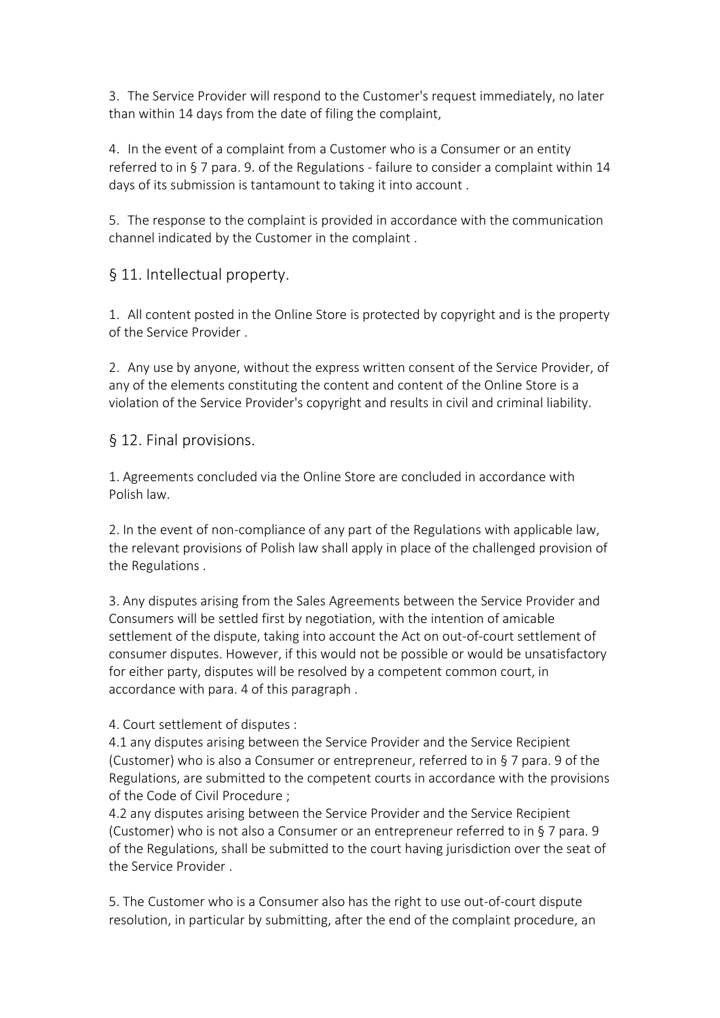3. The Service Provider will respond to the Customer's request immediately, no later than within 14 days from the date of filing the complaint,

4. In the event of a complaint from a Customer who is a Consumer or an entity referred to in § 7 para. 9. of the Regulations - failure to consider a complaint within 14 days of its submission is tantamount to taking it into account .

5. The response to the complaint is provided in accordance with the communication channel indicated by the Customer in the complaint .

§ 11. Intellectual property.

1. All content posted in the Online Store is protected by copyright and is the property of the Service Provider .

2. Any use by anyone, without the express written consent of the Service Provider, of any of the elements constituting the content and content of the Online Store is a violation of the Service Provider's copyright and results in civiland criminal liability.

§ 12. Final provisions.

1. Agreements concluded via the Online Store are concluded in accordance with Polish law.

2. In the event of non-compliance of any part of the Regulations with applicable law, the relevant provisions of Polish law shall apply in place of the challenged provision of the Regulations .

3. Any disputes arising from the Sales Agreements between the Service Provider and Consumers will be settled first by negotiation, with the intention of amicable settlement of the dispute, taking into account the Act on out-of-court settlement of consumer disputes. However, if this would not be possible or would be unsatisfactory for either party, disputes will be resolved by a competent common court, in accordance with para. 4 of this paragraph .

4. Court settlement of disputes :

4.1 any disputes arising between the Service Provider and the Service Recipient (Customer) who is also a Consumer or entrepreneur, referred to in § 7 para. 9 of the Regulations, are submitted to the competent courts in accordance with the provisions of the Code of Civil Procedure ;

4.2 any disputes arising between the Service Provider and the Service Recipient (Customer) who is not also a Consumer or an entrepreneur referred to in § 7 para. 9 of the Regulations, shall be submitted to the court having jurisdiction over the seat of the Service Provider .

5. The Customer who is a Consumer also has the right to use out-of-court dispute resolution, in particular by submitting, after the end of the complaint procedure, an